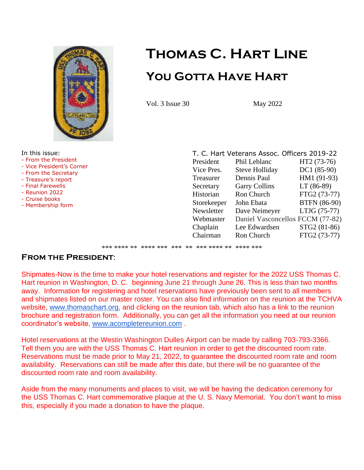

# **Thomas C. Hart Line You Gotta Have Hart**

Vol. 3 Issue 30 May 2022

In this issue:

- From the President
- Vice President's Corner
- From the Secretary
- Treasure's report
- Final Farewells
- Reunion 2022
- Cruise books
- Membership form

| T. C. Hart Veterans Assoc. Officers 2019-22 |                                  |  |  |  |
|---------------------------------------------|----------------------------------|--|--|--|
| Phil Leblanc                                | HT2 (73-76)                      |  |  |  |
| <b>Steve Holliday</b>                       | DC1 (85-90)                      |  |  |  |
| Dennis Paul                                 | HM1 (91-93)                      |  |  |  |
| <b>Garry Collins</b>                        | $LT(86-89)$                      |  |  |  |
| Ron Church                                  | FTG2 (73-77)                     |  |  |  |
| John Ebata                                  | <b>BTFN</b> (86-90)              |  |  |  |
| Dave Neimeyer                               | LTJG (75-77)                     |  |  |  |
|                                             |                                  |  |  |  |
| Lee Edwardsen                               | STG2 (81-86)                     |  |  |  |
| <b>Ron Church</b>                           | FTG2 (73-77)                     |  |  |  |
|                                             | Daniel Vasconcellos FCCM (77-82) |  |  |  |

\*\*\* \*\*\*\* \*\* \*\*\*\* \*\*\* \*\*\* \*\* \*\*\* \*\*\*\* \*\* \*\*\*\* \*\*\*

## **From the President**:

Shipmates-Now is the time to make your hotel reservations and register for the 2022 USS Thomas C. Hart reunion in Washington, D. C. beginning June 21 through June 26. This is less than two months away. Information for registering and hotel reservations have previously been sent to all members and shipmates listed on our master roster. You can also find information on the reunion at the TCHVA website, [www.thomaschart.org,](http://www.thomaschart.org/) and clicking on the reunion tab, which also has a link to the reunion brochure and registration form. Additionally, you can get all the information you need at our reunion coordinator's website, [www.acompletereunion.com](http://www.acompletereunion.com/) .

Hotel reservations at the Westin Washington Dulles Airport can be made by calling 703-793-3366. Tell them you are with the USS Thomas C. Hart reunion in order to get the discounted room rate. Reservations must be made prior to May 21, 2022, to guarantee the discounted room rate and room availability. Reservations can still be made after this date, but there will be no guarantee of the discounted room rate and room availability.

Aside from the many monuments and places to visit, we will be having the dedication ceremony for the USS Thomas C. Hart commemorative plaque at the U. S. Navy Memorial. You don't want to miss this, especially if you made a donation to have the plaque.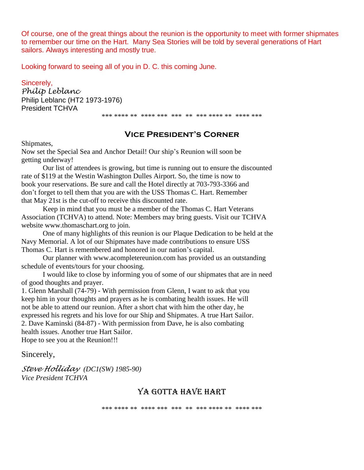Of course, one of the great things about the reunion is the opportunity to meet with former shipmates to remember our time on the Hart. Many Sea Stories will be told by several generations of Hart sailors. Always interesting and mostly true.

Looking forward to seeing all of you in D. C. this coming June.

Sincerely, *Philip Leblanc* Philip Leblanc (HT2 1973-1976) President TCHVA

\*\*\* \*\*\*\* \*\* \*\*\*\* \*\*\* \*\*\* \*\* \*\*\* \*\*\*\* \*\* \*\*\*\* \*\*\*

#### **Vice President's Corner**

Shipmates,

Now set the Special Sea and Anchor Detail! Our ship's Reunion will soon be getting underway!

Our list of attendees is growing, but time is running out to ensure the discounted rate of \$119 at the Westin Washington Dulles Airport. So, the time is now to book your reservations. Be sure and call the Hotel directly at 703-793-3366 and don't forget to tell them that you are with the USS Thomas C. Hart. Remember that May 21st is the cut-off to receive this discounted rate.

Keep in mind that you must be a member of the Thomas C. Hart Veterans Association (TCHVA) to attend. Note: Members may bring guests. Visit our TCHVA website www.thomaschart.org to join.

One of many highlights of this reunion is our Plaque Dedication to be held at the Navy Memorial. A lot of our Shipmates have made contributions to ensure USS Thomas C. Hart is remembered and honored in our nation's capital.

Our planner with www.acompletereunion.com has provided us an outstanding schedule of events/tours for your choosing.

I would like to close by informing you of some of our shipmates that are in need of good thoughts and prayer.

1. Glenn Marshall (74-79) - With permission from Glenn, I want to ask that you keep him in your thoughts and prayers as he is combating health issues. He will not be able to attend our reunion. After a short chat with him the other day, he expressed his regrets and his love for our Ship and Shipmates. A true Hart Sailor. 2. Dave Kaminski (84-87) - With permission from Dave, he is also combating health issues. Another true Hart Sailor. Hope to see you at the Reunion!!!

Sincerely,

*Steve Holliday (DC1(SW) 1985-90) Vice President TCHVA*

#### YA GOTTA HAVE HART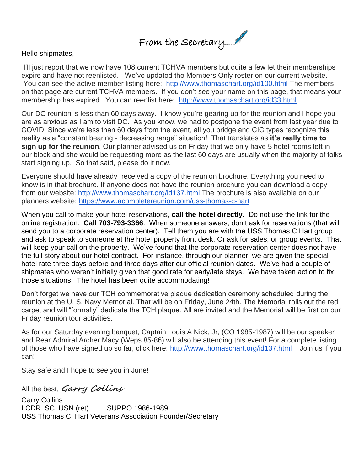

Hello shipmates,

I'll just report that we now have 108 current TCHVA members but quite a few let their memberships expire and have not reenlisted. We've updated the Members Only roster on our current website. You can see the active member listing here: <http://www.thomaschart.org/id100.html> The members on that page are current TCHVA members. If you don't see your name on this page, that means your membership has expired. You can reenlist here: <http://www.thomaschart.org/id33.html>

Our DC reunion is less than 60 days away. I know you're gearing up for the reunion and I hope you are as anxious as I am to visit DC. As you know, we had to postpone the event from last year due to COVID. Since we're less than 60 days from the event, all you bridge and CIC types recognize this reality as a "constant bearing - decreasing range" situation! That translates as **it's really time to sign up for the reunion**. Our planner advised us on Friday that we only have 5 hotel rooms left in our block and she would be requesting more as the last 60 days are usually when the majority of folks start signing up. So that said, please do it now.

Everyone should have already received a copy of the reunion brochure. Everything you need to know is in that brochure. If anyone does not have the reunion brochure you can download a copy from our website: <http://www.thomaschart.org/id137.html> The brochure is also available on our planners website: <https://www.acompletereunion.com/uss-thomas-c-hart>

When you call to make your hotel reservations, **call the hotel directly.** Do not use the link for the online registration. **Call 703-793-3366**. When someone answers, don't ask for reservations (that will send you to a corporate reservation center). Tell them you are with the USS Thomas C Hart group and ask to speak to someone at the hotel property front desk. Or ask for sales, or group events. That will keep your call on the property. We've found that the corporate reservation center does not have the full story about our hotel contract. For instance, through our planner, we are given the special hotel rate three days before and three days after our official reunion dates. We've had a couple of shipmates who weren't initially given that good rate for early/late stays. We have taken action to fix those situations. The hotel has been quite accommodating!

Don't forget we have our TCH commemorative plaque dedication ceremony scheduled during the reunion at the U. S. Navy Memorial. That will be on Friday, June 24th. The Memorial rolls out the red carpet and will "formally" dedicate the TCH plaque. All are invited and the Memorial will be first on our Friday reunion tour activities.

As for our Saturday evening banquet, Captain Louis A Nick, Jr, (CO 1985-1987) will be our speaker and Rear Admiral Archer Macy (Weps 85-86) will also be attending this event! For a complete listing of those who have signed up so far, click here: <http://www.thomaschart.org/id137.html> Join us if you can!

Stay safe and I hope to see you in June!

All the best, **Garry Collins**

Garry Collins LCDR, SC, USN (ret) SUPPO 1986-1989 USS Thomas C. Hart Veterans Association Founder/Secretary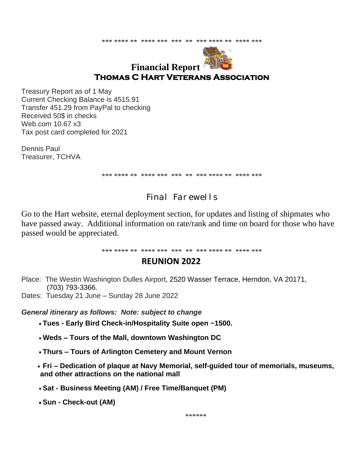\*\*\* \*\*\*\* \*\* \*\*\*\* \*\*\* \*\*\* \*\* \*\*\* \*\*\*\* \*\* \*\*\*\* \*\*\*



# **Financial Report Thomas C Hart Veterans Association**

Treasury Report as of 1 May Current Checking Balance is 4515.91 Transfer 451.29 from PayPal to checking Received 50\$ in checks Web.com 10.67 x3 Tax post card completed for 2021

Dennis Paul Treasurer, TCHVA

\*\*\* \*\*\*\* \*\* \*\*\*\* \*\*\* \*\*\* \*\* \*\*\* \*\*\*\* \*\* \*\*\*\* \*\*\*

# Final Farewells

Go to the Hart website, eternal deployment section, for updates and listing of shipmates who have passed away. Additional information on rate/rank and time on board for those who have passed would be appreciated.

\*\*\* \*\*\*\* \*\* \*\*\*\* \*\*\* \*\*\* \*\* \*\*\* \*\*\*\* \*\* \*\*\*\* \*\*\*

## **REUNION 2022**

- Place: The Westin Washington Dulles Airport, 2520 Wasser Terrace, Herndon, VA 20171, (703) 793-3366.
- Dates: Tuesday 21 June Sunday 28 June 2022

*General itinerary as follows: Note: subject to change*

- **Tues - Early Bird Check-in/Hospitality Suite open ~1500.**
- **Weds – Tours of the Mall, downtown Washington DC**
- **Thurs – Tours of Arlington Cemetery and Mount Vernon**
- **Fri – Dedication of plaque at Navy Memorial, self-guided tour of memorials, museums, and other attractions on the national mall**
- **Sat - Business Meeting (AM) / Free Time/Banquet (PM)**
- **Sun - Check-out (AM)**

\*\*\*\*\*\*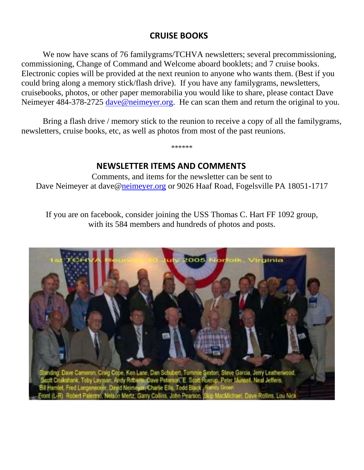# **CRUISE BOOKS**

We now have scans of 76 familygrams/TCHVA newsletters; several precommissioning, commissioning, Change of Command and Welcome aboard booklets; and 7 cruise books. Electronic copies will be provided at the next reunion to anyone who wants them. (Best if you could bring along a memory stick/flash drive). If you have any familygrams, newsletters, cruisebooks, photos, or other paper memorabilia you would like to share, please contact Dave Neimeyer 484-378-2725 [dave@neimeyer.org.](mailto:dave@neimeyer.org) He can scan them and return the original to you.

Bring a flash drive / memory stick to the reunion to receive a copy of all the family grams, newsletters, cruise books, etc, as well as photos from most of the past reunions.

\*\*\*\*\*\*

# **NEWSLETTER ITEMS AND COMMENTS**

Comments, and items for the newsletter can be sent to Dave Neimeyer at dave[@neimeyer.org](mailto:neimeyer@us.net) or 9026 Haaf Road, Fogelsville PA 18051-1717

If you are on facebook, consider joining the USS Thomas C. Hart FF 1092 group, with its 584 members and hundreds of photos and posts.